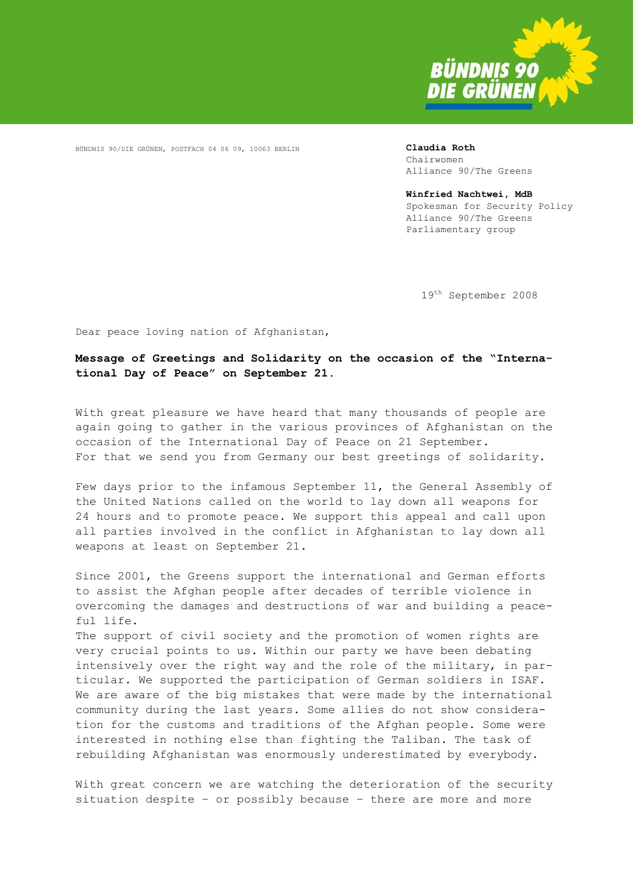

BÜNDNIS 90/DIE GRÜNEN, POSTFACH 04 06 09, 10063 BERLIN **Claudia Roth** 

Chairwomen Alliance 90/The Greens

**Winfried Nachtwei, MdB**  Spokesman for Security Policy Alliance 90/The Greens Parliamentary group

19th September 2008

Dear peace loving nation of Afghanistan,

**Message of Greetings and Solidarity on the occasion of the "International Day of Peace" on September 21.** 

With great pleasure we have heard that many thousands of people are again going to gather in the various provinces of Afghanistan on the occasion of the International Day of Peace on 21 September. For that we send you from Germany our best greetings of solidarity.

Few days prior to the infamous September 11, the General Assembly of the United Nations called on the world to lay down all weapons for 24 hours and to promote peace. We support this appeal and call upon all parties involved in the conflict in Afghanistan to lay down all weapons at least on September 21.

Since 2001, the Greens support the international and German efforts to assist the Afghan people after decades of terrible violence in overcoming the damages and destructions of war and building a peaceful life. The support of civil society and the promotion of women rights are very crucial points to us. Within our party we have been debating intensively over the right way and the role of the military, in particular. We supported the participation of German soldiers in ISAF. We are aware of the big mistakes that were made by the international community during the last years. Some allies do not show consideration for the customs and traditions of the Afghan people. Some were interested in nothing else than fighting the Taliban. The task of rebuilding Afghanistan was enormously underestimated by everybody.

With great concern we are watching the deterioration of the security situation despite – or possibly because – there are more and more